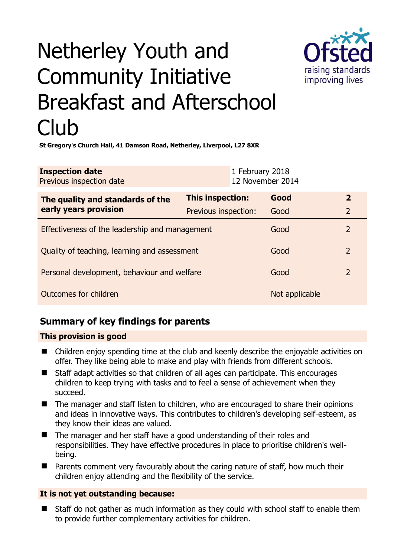

# Netherley Youth and Community Initiative Breakfast and Afterschool Club

**St Gregory's Church Hall, 41 Damson Road, Netherley, Liverpool, L27 8XR** 

| <b>Inspection date</b>   | 1 February 2018  |
|--------------------------|------------------|
| Previous inspection date | 12 November 2014 |
|                          |                  |

| The quality and standards of the<br>early years provision | This inspection:     | Good           | $\overline{\mathbf{2}}$ |
|-----------------------------------------------------------|----------------------|----------------|-------------------------|
|                                                           | Previous inspection: | Good           | $\overline{2}$          |
| Effectiveness of the leadership and management            |                      | Good           |                         |
| Quality of teaching, learning and assessment              |                      | Good           | 2                       |
| Personal development, behaviour and welfare               |                      | Good           | $\overline{2}$          |
| Outcomes for children                                     |                      | Not applicable |                         |

# **Summary of key findings for parents**

## **This provision is good**

- Children enjoy spending time at the club and keenly describe the enjoyable activities on offer. They like being able to make and play with friends from different schools.
- Staff adapt activities so that children of all ages can participate. This encourages children to keep trying with tasks and to feel a sense of achievement when they succeed.
- The manager and staff listen to children, who are encouraged to share their opinions and ideas in innovative ways. This contributes to children's developing self-esteem, as they know their ideas are valued.
- The manager and her staff have a good understanding of their roles and responsibilities. They have effective procedures in place to prioritise children's wellbeing.
- Parents comment very favourably about the caring nature of staff, how much their children enjoy attending and the flexibility of the service.

## **It is not yet outstanding because:**

 Staff do not gather as much information as they could with school staff to enable them to provide further complementary activities for children.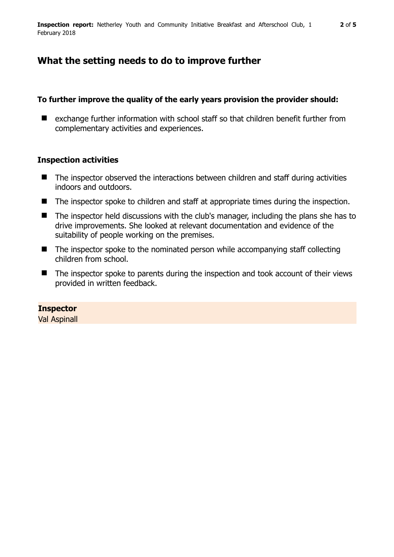# **What the setting needs to do to improve further**

### **To further improve the quality of the early years provision the provider should:**

■ exchange further information with school staff so that children benefit further from complementary activities and experiences.

## **Inspection activities**

- The inspector observed the interactions between children and staff during activities indoors and outdoors.
- The inspector spoke to children and staff at appropriate times during the inspection.
- The inspector held discussions with the club's manager, including the plans she has to drive improvements. She looked at relevant documentation and evidence of the suitability of people working on the premises.
- $\blacksquare$  The inspector spoke to the nominated person while accompanying staff collecting children from school.
- The inspector spoke to parents during the inspection and took account of their views provided in written feedback.

## **Inspector**

Val Aspinall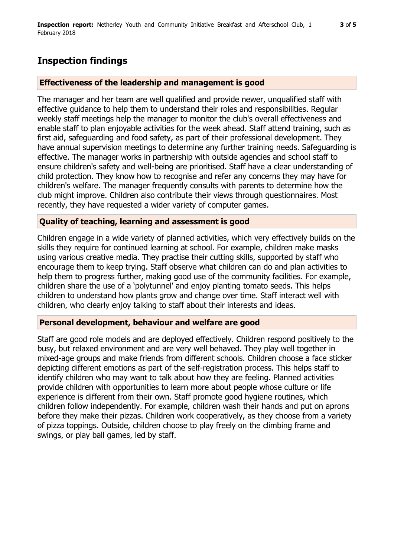# **Inspection findings**

#### **Effectiveness of the leadership and management is good**

The manager and her team are well qualified and provide newer, unqualified staff with effective guidance to help them to understand their roles and responsibilities. Regular weekly staff meetings help the manager to monitor the club's overall effectiveness and enable staff to plan enjoyable activities for the week ahead. Staff attend training, such as first aid, safeguarding and food safety, as part of their professional development. They have annual supervision meetings to determine any further training needs. Safeguarding is effective. The manager works in partnership with outside agencies and school staff to ensure children's safety and well-being are prioritised. Staff have a clear understanding of child protection. They know how to recognise and refer any concerns they may have for children's welfare. The manager frequently consults with parents to determine how the club might improve. Children also contribute their views through questionnaires. Most recently, they have requested a wider variety of computer games.

#### **Quality of teaching, learning and assessment is good**

Children engage in a wide variety of planned activities, which very effectively builds on the skills they require for continued learning at school. For example, children make masks using various creative media. They practise their cutting skills, supported by staff who encourage them to keep trying. Staff observe what children can do and plan activities to help them to progress further, making good use of the community facilities. For example, children share the use of a 'polytunnel' and enjoy planting tomato seeds. This helps children to understand how plants grow and change over time. Staff interact well with children, who clearly enjoy talking to staff about their interests and ideas.

#### **Personal development, behaviour and welfare are good**

Staff are good role models and are deployed effectively. Children respond positively to the busy, but relaxed environment and are very well behaved. They play well together in mixed-age groups and make friends from different schools. Children choose a face sticker depicting different emotions as part of the self-registration process. This helps staff to identify children who may want to talk about how they are feeling. Planned activities provide children with opportunities to learn more about people whose culture or life experience is different from their own. Staff promote good hygiene routines, which children follow independently. For example, children wash their hands and put on aprons before they make their pizzas. Children work cooperatively, as they choose from a variety of pizza toppings. Outside, children choose to play freely on the climbing frame and swings, or play ball games, led by staff.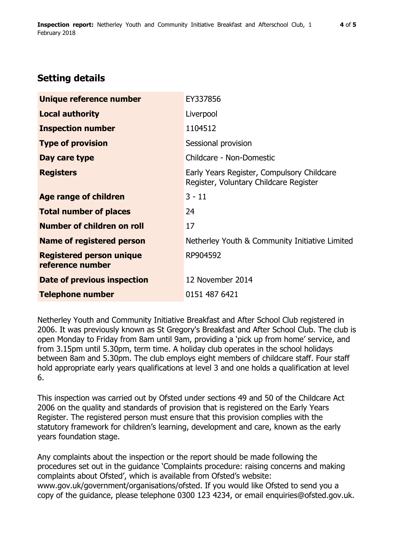# **Setting details**

| Unique reference number                             | EY337856                                                                             |
|-----------------------------------------------------|--------------------------------------------------------------------------------------|
| <b>Local authority</b>                              | Liverpool                                                                            |
| <b>Inspection number</b>                            | 1104512                                                                              |
| <b>Type of provision</b>                            | Sessional provision                                                                  |
| Day care type                                       | Childcare - Non-Domestic                                                             |
| <b>Registers</b>                                    | Early Years Register, Compulsory Childcare<br>Register, Voluntary Childcare Register |
| Age range of children                               | $3 - 11$                                                                             |
| <b>Total number of places</b>                       | 24                                                                                   |
| Number of children on roll                          | 17                                                                                   |
| Name of registered person                           | Netherley Youth & Community Initiative Limited                                       |
| <b>Registered person unique</b><br>reference number | RP904592                                                                             |
| Date of previous inspection                         | 12 November 2014                                                                     |
| <b>Telephone number</b>                             | 0151 487 6421                                                                        |

Netherley Youth and Community Initiative Breakfast and After School Club registered in 2006. It was previously known as St Gregory's Breakfast and After School Club. The club is open Monday to Friday from 8am until 9am, providing a 'pick up from home' service, and from 3.15pm until 5.30pm, term time. A holiday club operates in the school holidays between 8am and 5.30pm. The club employs eight members of childcare staff. Four staff hold appropriate early years qualifications at level 3 and one holds a qualification at level 6.

This inspection was carried out by Ofsted under sections 49 and 50 of the Childcare Act 2006 on the quality and standards of provision that is registered on the Early Years Register. The registered person must ensure that this provision complies with the statutory framework for children's learning, development and care, known as the early years foundation stage.

Any complaints about the inspection or the report should be made following the procedures set out in the guidance 'Complaints procedure: raising concerns and making complaints about Ofsted', which is available from Ofsted's website: www.gov.uk/government/organisations/ofsted. If you would like Ofsted to send you a copy of the guidance, please telephone 0300 123 4234, or email enquiries@ofsted.gov.uk.